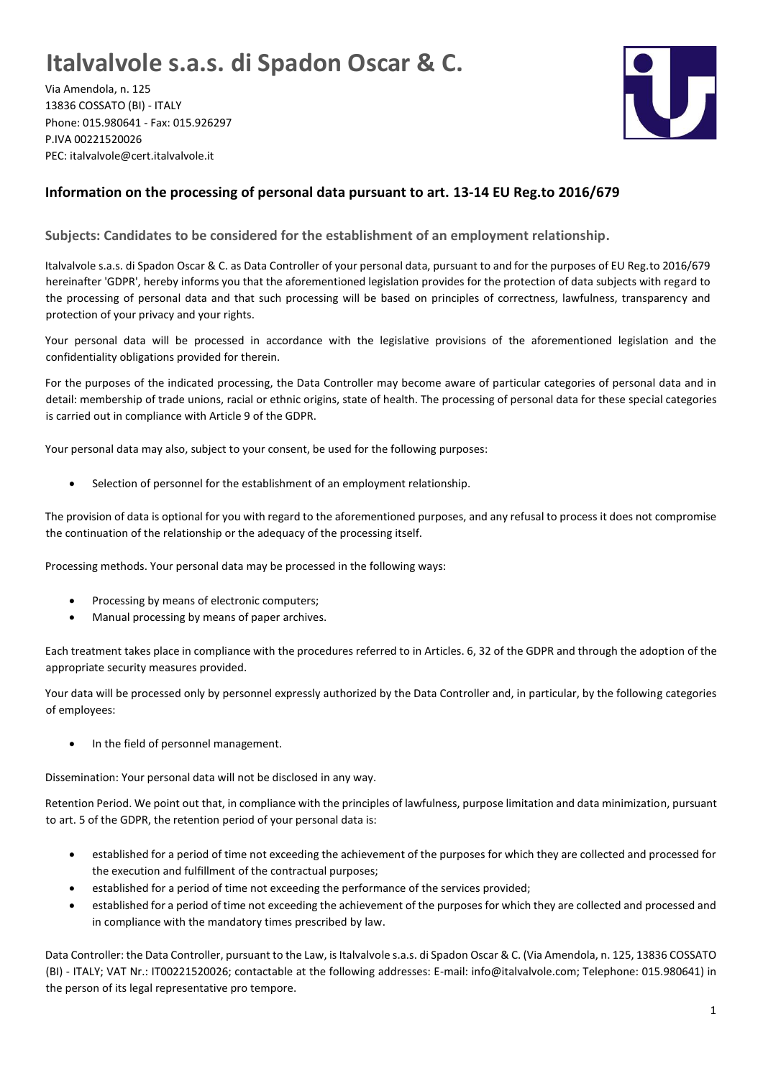## **Italvalvole s.a.s. di Spadon Oscar & C.**

Via Amendola, n. 125 13836 COSSATO (BI) - ITALY Phone: 015.980641 - Fax: 015.926297 P.IVA 00221520026 PEC: italvalvole@cert.italvalvole.it



## **Information on the processing of personal data pursuant to art. 13-14 EU Reg.to 2016/679**

**Subjects: Candidates to be considered for the establishment of an employment relationship.**

Italvalvole s.a.s. di Spadon Oscar & C. as Data Controller of your personal data, pursuant to and for the purposes of EU Reg.to 2016/679 hereinafter 'GDPR', hereby informs you that the aforementioned legislation provides for the protection of data subjects with regard to the processing of personal data and that such processing will be based on principles of correctness, lawfulness, transparency and protection of your privacy and your rights.

Your personal data will be processed in accordance with the legislative provisions of the aforementioned legislation and the confidentiality obligations provided for therein.

For the purposes of the indicated processing, the Data Controller may become aware of particular categories of personal data and in detail: membership of trade unions, racial or ethnic origins, state of health. The processing of personal data for these special categories is carried out in compliance with Article 9 of the GDPR.

Your personal data may also, subject to your consent, be used for the following purposes:

Selection of personnel for the establishment of an employment relationship.

The provision of data is optional for you with regard to the aforementioned purposes, and any refusal to process it does not compromise the continuation of the relationship or the adequacy of the processing itself.

Processing methods. Your personal data may be processed in the following ways:

- Processing by means of electronic computers;
- Manual processing by means of paper archives.

Each treatment takes place in compliance with the procedures referred to in Articles. 6, 32 of the GDPR and through the adoption of the appropriate security measures provided.

Your data will be processed only by personnel expressly authorized by the Data Controller and, in particular, by the following categories of employees:

In the field of personnel management.

Dissemination: Your personal data will not be disclosed in any way.

Retention Period. We point out that, in compliance with the principles of lawfulness, purpose limitation and data minimization, pursuant to art. 5 of the GDPR, the retention period of your personal data is:

- established for a period of time not exceeding the achievement of the purposes for which they are collected and processed for the execution and fulfillment of the contractual purposes;
- established for a period of time not exceeding the performance of the services provided;
- established for a period of time not exceeding the achievement of the purposes for which they are collected and processed and in compliance with the mandatory times prescribed by law.

Data Controller: the Data Controller, pursuant to the Law, is Italvalvole s.a.s. di Spadon Oscar & C. (Via Amendola, n. 125, 13836 COSSATO (BI) - ITALY; VAT Nr.: IT00221520026; contactable at the following addresses: E-mail: info@italvalvole.com; Telephone: 015.980641) in the person of its legal representative pro tempore.